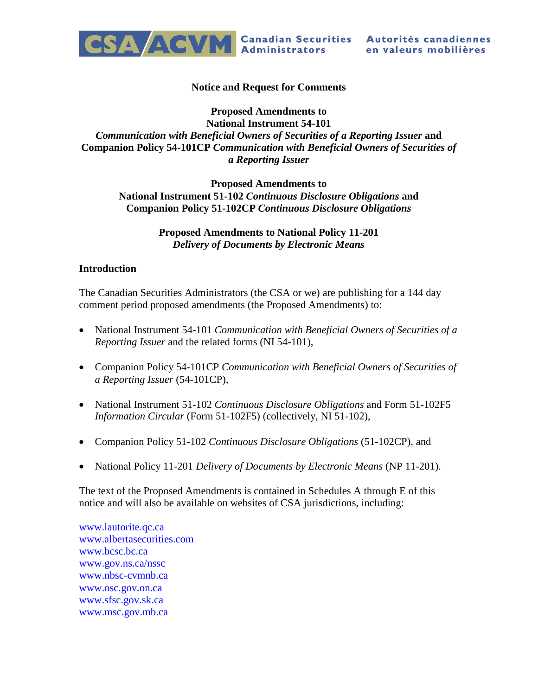

#### **Notice and Request for Comments**

## **Proposed Amendments to National Instrument 54-101** *Communication with Beneficial Owners of Securities of a Reporting Issuer* **and Companion Policy 54-101CP** *Communication with Beneficial Owners of Securities of a Reporting Issuer*

#### **Proposed Amendments to National Instrument 51-102** *Continuous Disclosure Obligations* **and Companion Policy 51-102CP** *Continuous Disclosure Obligations*

#### **Proposed Amendments to National Policy 11-201** *Delivery of Documents by Electronic Means*

#### **Introduction**

The Canadian Securities Administrators (the CSA or we) are publishing for a 144 day comment period proposed amendments (the Proposed Amendments) to:

- National Instrument 54-101 *Communication with Beneficial Owners of Securities of a Reporting Issuer* and the related forms (NI 54-101),
- Companion Policy 54-101CP *Communication with Beneficial Owners of Securities of a Reporting Issuer* (54-101CP),
- National Instrument 51-102 *Continuous Disclosure Obligations* and Form 51-102F5 *Information Circular* (Form 51-102F5) (collectively, NI 51-102),
- Companion Policy 51-102 *Continuous Disclosure Obligations* (51-102CP), and
- National Policy 11-201 *Delivery of Documents by Electronic Means* (NP 11-201).

The text of the Proposed Amendments is contained in Schedules A through E of this notice and will also be available on websites of CSA jurisdictions, including:

[www.lautorite.qc.ca](http://www.lautorite.qc.ca/) [www.albertasecurities.com](http://www.albertasecurities.com/) [www.bcsc.bc.ca](http://www.bcsc.bc.ca/) [www.gov.ns.ca/nssc](http://www.gov.ns.ca/nssc) [www.nbsc-cvmnb.ca](http://www.nbsc-cvmnb.ca/) [www.osc.gov.on.ca](http://www.osc.gov.on.ca/) [www.sfsc.gov.sk.ca](http://www.sfsc.gov.sk.ca/) [www.msc.gov.mb.ca](http://www.msc.gov.mb.ca/)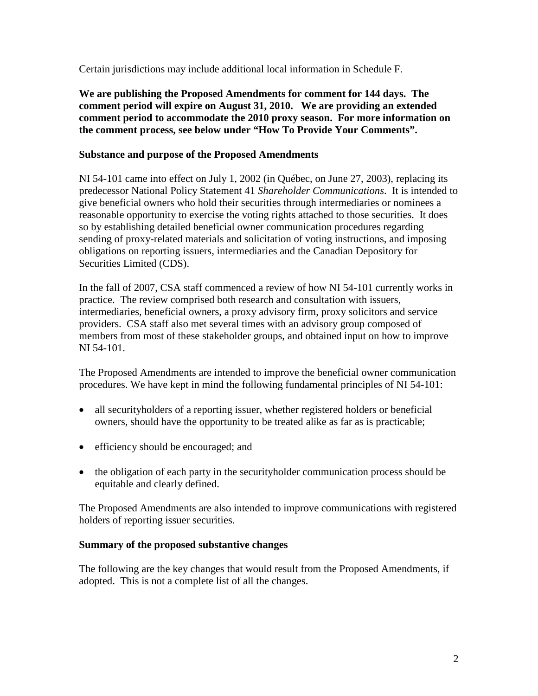Certain jurisdictions may include additional local information in Schedule F.

**We are publishing the Proposed Amendments for comment for 144 days. The comment period will expire on August 31, 2010. We are providing an extended comment period to accommodate the 2010 proxy season. For more information on the comment process, see below under "How To Provide Your Comments".**

## **Substance and purpose of the Proposed Amendments**

NI 54-101 came into effect on July 1, 2002 (in Québec, on June 27, 2003), replacing its predecessor National Policy Statement 41 *Shareholder Communications*. It is intended to give beneficial owners who hold their securities through intermediaries or nominees a reasonable opportunity to exercise the voting rights attached to those securities. It does so by establishing detailed beneficial owner communication procedures regarding sending of proxy-related materials and solicitation of voting instructions, and imposing obligations on reporting issuers, intermediaries and the Canadian Depository for Securities Limited (CDS).

In the fall of 2007, CSA staff commenced a review of how NI 54-101 currently works in practice. The review comprised both research and consultation with issuers, intermediaries, beneficial owners, a proxy advisory firm, proxy solicitors and service providers. CSA staff also met several times with an advisory group composed of members from most of these stakeholder groups, and obtained input on how to improve NI 54-101.

The Proposed Amendments are intended to improve the beneficial owner communication procedures. We have kept in mind the following fundamental principles of NI 54-101:

- all securityholders of a reporting issuer, whether registered holders or beneficial owners, should have the opportunity to be treated alike as far as is practicable;
- efficiency should be encouraged; and
- the obligation of each party in the securityholder communication process should be equitable and clearly defined.

The Proposed Amendments are also intended to improve communications with registered holders of reporting issuer securities.

## **Summary of the proposed substantive changes**

The following are the key changes that would result from the Proposed Amendments, if adopted. This is not a complete list of all the changes.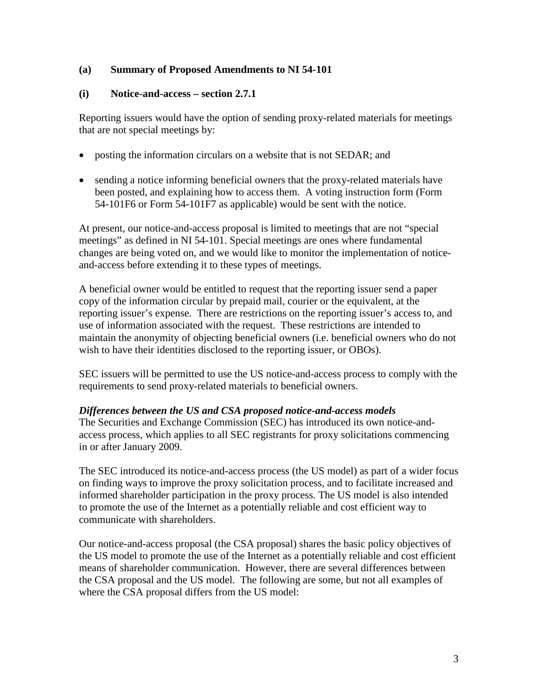## **(a) Summary of Proposed Amendments to NI 54-101**

## **(i) Notice-and-access – section 2.7.1**

Reporting issuers would have the option of sending proxy-related materials for meetings that are not special meetings by:

- posting the information circulars on a website that is not SEDAR; and
- sending a notice informing beneficial owners that the proxy-related materials have been posted, and explaining how to access them. A voting instruction form (Form 54-101F6 or Form 54-101F7 as applicable) would be sent with the notice.

At present, our notice-and-access proposal is limited to meetings that are not "special meetings" as defined in NI 54-101. Special meetings are ones where fundamental changes are being voted on, and we would like to monitor the implementation of noticeand-access before extending it to these types of meetings.

A beneficial owner would be entitled to request that the reporting issuer send a paper copy of the information circular by prepaid mail, courier or the equivalent, at the reporting issuer's expense. There are restrictions on the reporting issuer's access to, and use of information associated with the request. These restrictions are intended to maintain the anonymity of objecting beneficial owners (i.e. beneficial owners who do not wish to have their identities disclosed to the reporting issuer, or OBOs).

SEC issuers will be permitted to use the US notice-and-access process to comply with the requirements to send proxy-related materials to beneficial owners.

#### *Differences between the US and CSA proposed notice-and-access models*

The Securities and Exchange Commission (SEC) has introduced its own notice-andaccess process, which applies to all SEC registrants for proxy solicitations commencing in or after January 2009.

The SEC introduced its notice-and-access process (the US model) as part of a wider focus on finding ways to improve the proxy solicitation process, and to facilitate increased and informed shareholder participation in the proxy process. The US model is also intended to promote the use of the Internet as a potentially reliable and cost efficient way to communicate with shareholders.

Our notice-and-access proposal (the CSA proposal) shares the basic policy objectives of the US model to promote the use of the Internet as a potentially reliable and cost efficient means of shareholder communication. However, there are several differences between the CSA proposal and the US model. The following are some, but not all examples of where the CSA proposal differs from the US model: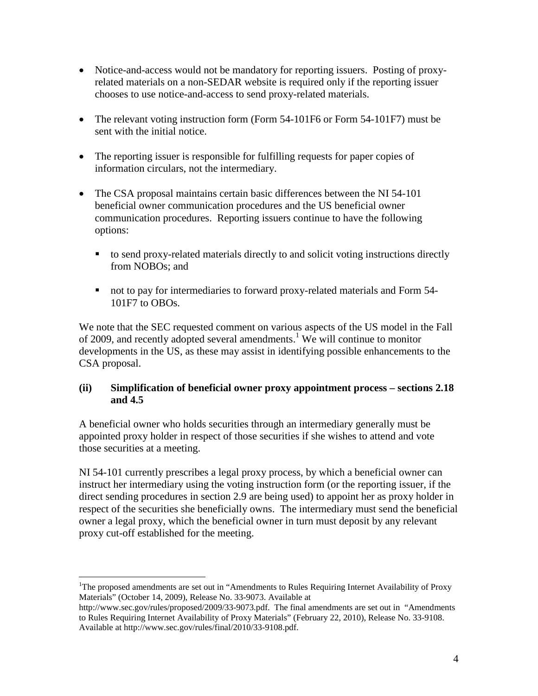- Notice-and-access would not be mandatory for reporting issuers. Posting of proxyrelated materials on a non-SEDAR website is required only if the reporting issuer chooses to use notice-and-access to send proxy-related materials.
- The relevant voting instruction form (Form 54-101F6 or Form 54-101F7) must be sent with the initial notice.
- The reporting issuer is responsible for fulfilling requests for paper copies of information circulars, not the intermediary.
- The CSA proposal maintains certain basic differences between the NI 54-101 beneficial owner communication procedures and the US beneficial owner communication procedures. Reporting issuers continue to have the following options:
	- to send proxy-related materials directly to and solicit voting instructions directly from NOBOs; and
	- not to pay for intermediaries to forward proxy-related materials and Form 54-101F7 to OBOs.

We note that the SEC requested comment on various aspects of the US model in the Fall of 2009, and recently adopted several amendments.<sup>[1](#page-3-0)</sup> We will continue to monitor developments in the US, as these may assist in identifying possible enhancements to the CSA proposal.

## **(ii) Simplification of beneficial owner proxy appointment process – sections 2.18 and 4.5**

A beneficial owner who holds securities through an intermediary generally must be appointed proxy holder in respect of those securities if she wishes to attend and vote those securities at a meeting.

NI 54-101 currently prescribes a legal proxy process, by which a beneficial owner can instruct her intermediary using the voting instruction form (or the reporting issuer, if the direct sending procedures in section 2.9 are being used) to appoint her as proxy holder in respect of the securities she beneficially owns. The intermediary must send the beneficial owner a legal proxy, which the beneficial owner in turn must deposit by any relevant proxy cut-off established for the meeting.

<span id="page-3-0"></span><sup>&</sup>lt;sup>1</sup>The proposed amendments are set out in "Amendments to Rules Requiring Internet Availability of Proxy Materials" (October 14, 2009), Release No. 33-9073. Available at

http://www.sec.gov/rules/proposed/2009/33-9073.pdf. The final amendments are set out in "Amendments to Rules Requiring Internet Availability of Proxy Materials" (February 22, 2010), Release No. 33-9108. Available at http://www.sec.gov/rules/final/2010/33-9108.pdf.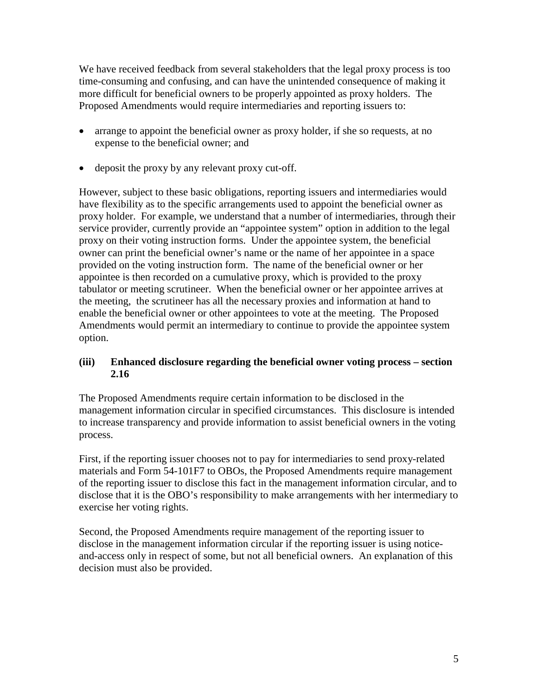We have received feedback from several stakeholders that the legal proxy process is too time-consuming and confusing, and can have the unintended consequence of making it more difficult for beneficial owners to be properly appointed as proxy holders. The Proposed Amendments would require intermediaries and reporting issuers to:

- arrange to appoint the beneficial owner as proxy holder, if she so requests, at no expense to the beneficial owner; and
- deposit the proxy by any relevant proxy cut-off.

However, subject to these basic obligations, reporting issuers and intermediaries would have flexibility as to the specific arrangements used to appoint the beneficial owner as proxy holder. For example, we understand that a number of intermediaries, through their service provider, currently provide an "appointee system" option in addition to the legal proxy on their voting instruction forms. Under the appointee system, the beneficial owner can print the beneficial owner's name or the name of her appointee in a space provided on the voting instruction form. The name of the beneficial owner or her appointee is then recorded on a cumulative proxy, which is provided to the proxy tabulator or meeting scrutineer. When the beneficial owner or her appointee arrives at the meeting, the scrutineer has all the necessary proxies and information at hand to enable the beneficial owner or other appointees to vote at the meeting. The Proposed Amendments would permit an intermediary to continue to provide the appointee system option.

## **(iii) Enhanced disclosure regarding the beneficial owner voting process – section 2.16**

The Proposed Amendments require certain information to be disclosed in the management information circular in specified circumstances. This disclosure is intended to increase transparency and provide information to assist beneficial owners in the voting process.

First, if the reporting issuer chooses not to pay for intermediaries to send proxy-related materials and Form 54-101F7 to OBOs, the Proposed Amendments require management of the reporting issuer to disclose this fact in the management information circular, and to disclose that it is the OBO's responsibility to make arrangements with her intermediary to exercise her voting rights.

Second, the Proposed Amendments require management of the reporting issuer to disclose in the management information circular if the reporting issuer is using noticeand-access only in respect of some, but not all beneficial owners. An explanation of this decision must also be provided.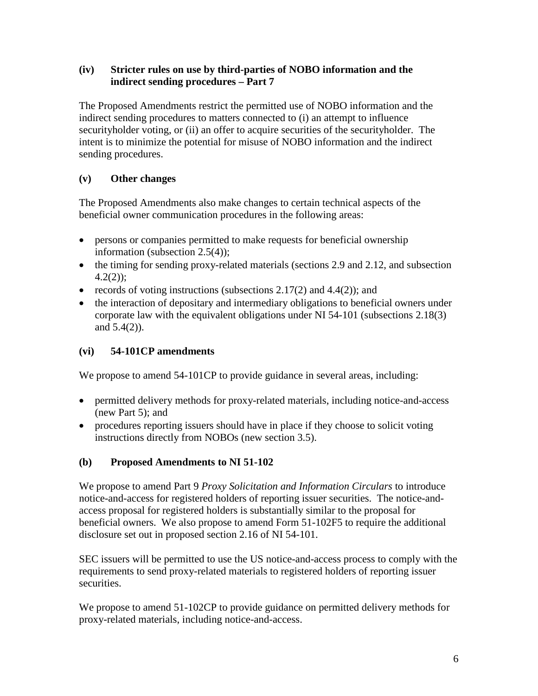## **(iv) Stricter rules on use by third-parties of NOBO information and the indirect sending procedures – Part 7**

The Proposed Amendments restrict the permitted use of NOBO information and the indirect sending procedures to matters connected to (i) an attempt to influence securityholder voting, or (ii) an offer to acquire securities of the securityholder. The intent is to minimize the potential for misuse of NOBO information and the indirect sending procedures.

# **(v) Other changes**

The Proposed Amendments also make changes to certain technical aspects of the beneficial owner communication procedures in the following areas:

- persons or companies permitted to make requests for beneficial ownership information (subsection 2.5(4));
- the timing for sending proxy-related materials (sections 2.9 and 2.12, and subsection  $4.2(2)$ ;
- records of voting instructions (subsections  $2.17(2)$  and  $4.4(2)$ ); and
- the interaction of depositary and intermediary obligations to beneficial owners under corporate law with the equivalent obligations under NI 54-101 (subsections 2.18(3) and 5.4(2)).

# **(vi) 54-101CP amendments**

We propose to amend 54-101CP to provide guidance in several areas, including:

- permitted delivery methods for proxy-related materials, including notice-and-access (new Part 5); and
- procedures reporting issuers should have in place if they choose to solicit voting instructions directly from NOBOs (new section 3.5).

# **(b) Proposed Amendments to NI 51-102**

We propose to amend Part 9 *Proxy Solicitation and Information Circulars* to introduce notice-and-access for registered holders of reporting issuer securities. The notice-andaccess proposal for registered holders is substantially similar to the proposal for beneficial owners. We also propose to amend Form 51-102F5 to require the additional disclosure set out in proposed section 2.16 of NI 54-101.

SEC issuers will be permitted to use the US notice-and-access process to comply with the requirements to send proxy-related materials to registered holders of reporting issuer securities.

We propose to amend 51-102CP to provide guidance on permitted delivery methods for proxy-related materials, including notice-and-access.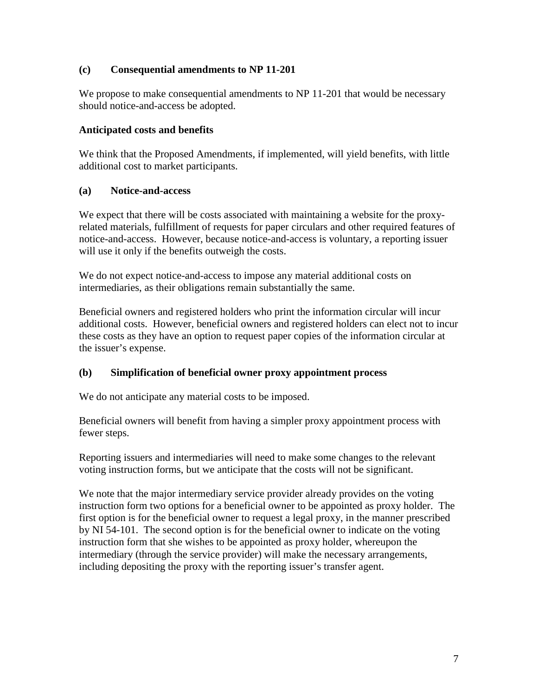## **(c) Consequential amendments to NP 11-201**

We propose to make consequential amendments to NP 11-201 that would be necessary should notice-and-access be adopted.

## **Anticipated costs and benefits**

We think that the Proposed Amendments, if implemented, will yield benefits, with little additional cost to market participants.

## **(a) Notice-and-access**

We expect that there will be costs associated with maintaining a website for the proxyrelated materials, fulfillment of requests for paper circulars and other required features of notice-and-access. However, because notice-and-access is voluntary, a reporting issuer will use it only if the benefits outweigh the costs.

We do not expect notice-and-access to impose any material additional costs on intermediaries, as their obligations remain substantially the same.

Beneficial owners and registered holders who print the information circular will incur additional costs. However, beneficial owners and registered holders can elect not to incur these costs as they have an option to request paper copies of the information circular at the issuer's expense.

# **(b) Simplification of beneficial owner proxy appointment process**

We do not anticipate any material costs to be imposed.

Beneficial owners will benefit from having a simpler proxy appointment process with fewer steps.

Reporting issuers and intermediaries will need to make some changes to the relevant voting instruction forms, but we anticipate that the costs will not be significant.

We note that the major intermediary service provider already provides on the voting instruction form two options for a beneficial owner to be appointed as proxy holder. The first option is for the beneficial owner to request a legal proxy, in the manner prescribed by NI 54-101. The second option is for the beneficial owner to indicate on the voting instruction form that she wishes to be appointed as proxy holder, whereupon the intermediary (through the service provider) will make the necessary arrangements, including depositing the proxy with the reporting issuer's transfer agent.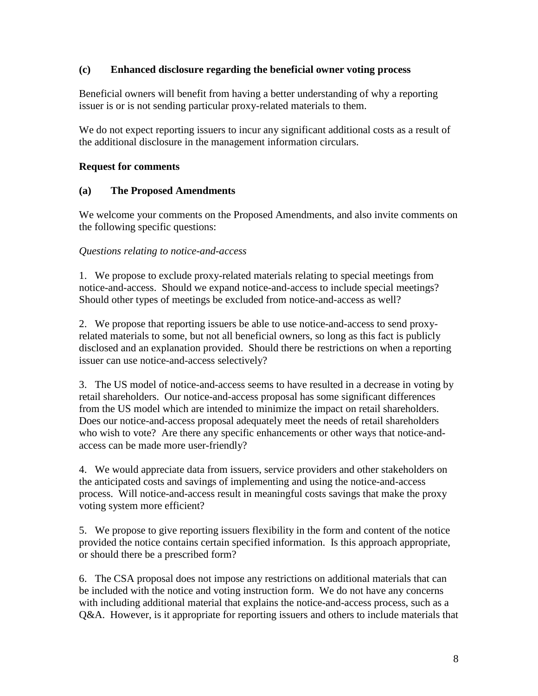## **(c) Enhanced disclosure regarding the beneficial owner voting process**

Beneficial owners will benefit from having a better understanding of why a reporting issuer is or is not sending particular proxy-related materials to them.

We do not expect reporting issuers to incur any significant additional costs as a result of the additional disclosure in the management information circulars.

## **Request for comments**

## **(a) The Proposed Amendments**

We welcome your comments on the Proposed Amendments, and also invite comments on the following specific questions:

#### *Questions relating to notice-and-access*

1. We propose to exclude proxy-related materials relating to special meetings from notice-and-access. Should we expand notice-and-access to include special meetings? Should other types of meetings be excluded from notice-and-access as well?

2. We propose that reporting issuers be able to use notice-and-access to send proxyrelated materials to some, but not all beneficial owners, so long as this fact is publicly disclosed and an explanation provided. Should there be restrictions on when a reporting issuer can use notice-and-access selectively?

3. The US model of notice-and-access seems to have resulted in a decrease in voting by retail shareholders. Our notice-and-access proposal has some significant differences from the US model which are intended to minimize the impact on retail shareholders. Does our notice-and-access proposal adequately meet the needs of retail shareholders who wish to vote? Are there any specific enhancements or other ways that notice-andaccess can be made more user-friendly?

4. We would appreciate data from issuers, service providers and other stakeholders on the anticipated costs and savings of implementing and using the notice-and-access process. Will notice-and-access result in meaningful costs savings that make the proxy voting system more efficient?

5. We propose to give reporting issuers flexibility in the form and content of the notice provided the notice contains certain specified information. Is this approach appropriate, or should there be a prescribed form?

6. The CSA proposal does not impose any restrictions on additional materials that can be included with the notice and voting instruction form. We do not have any concerns with including additional material that explains the notice-and-access process, such as a Q&A. However, is it appropriate for reporting issuers and others to include materials that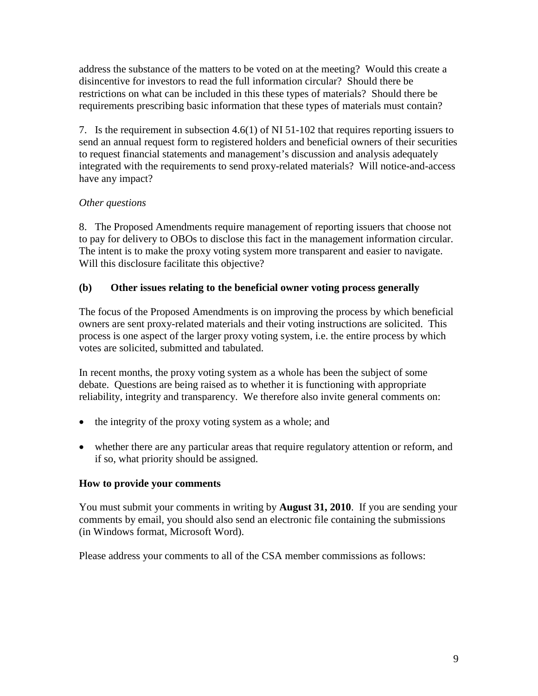address the substance of the matters to be voted on at the meeting? Would this create a disincentive for investors to read the full information circular? Should there be restrictions on what can be included in this these types of materials? Should there be requirements prescribing basic information that these types of materials must contain?

7. Is the requirement in subsection 4.6(1) of NI 51-102 that requires reporting issuers to send an annual request form to registered holders and beneficial owners of their securities to request financial statements and management's discussion and analysis adequately integrated with the requirements to send proxy-related materials? Will notice-and-access have any impact?

# *Other questions*

8. The Proposed Amendments require management of reporting issuers that choose not to pay for delivery to OBOs to disclose this fact in the management information circular. The intent is to make the proxy voting system more transparent and easier to navigate. Will this disclosure facilitate this objective?

## **(b) Other issues relating to the beneficial owner voting process generally**

The focus of the Proposed Amendments is on improving the process by which beneficial owners are sent proxy-related materials and their voting instructions are solicited. This process is one aspect of the larger proxy voting system, i.e. the entire process by which votes are solicited, submitted and tabulated.

In recent months, the proxy voting system as a whole has been the subject of some debate. Questions are being raised as to whether it is functioning with appropriate reliability, integrity and transparency. We therefore also invite general comments on:

- the integrity of the proxy voting system as a whole; and
- whether there are any particular areas that require regulatory attention or reform, and if so, what priority should be assigned.

## **How to provide your comments**

You must submit your comments in writing by **August 31, 2010**. If you are sending your comments by email, you should also send an electronic file containing the submissions (in Windows format, Microsoft Word).

Please address your comments to all of the CSA member commissions as follows: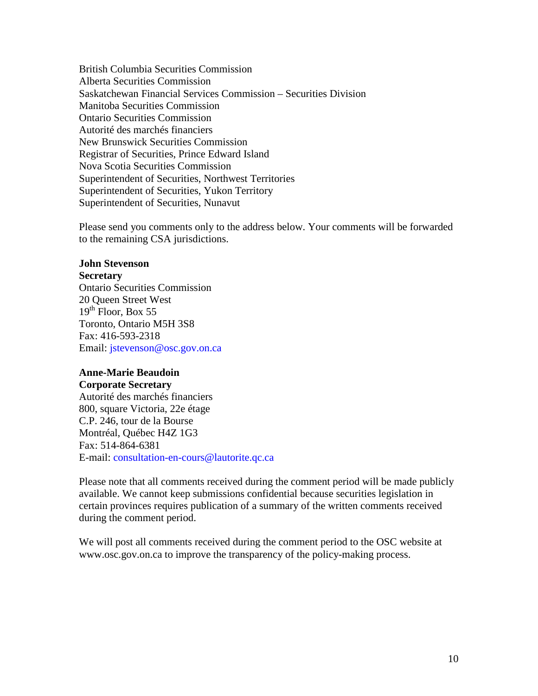British Columbia Securities Commission Alberta Securities Commission Saskatchewan Financial Services Commission – Securities Division Manitoba Securities Commission Ontario Securities Commission Autorité des marchés financiers New Brunswick Securities Commission Registrar of Securities, Prince Edward Island Nova Scotia Securities Commission Superintendent of Securities, Northwest Territories Superintendent of Securities, Yukon Territory Superintendent of Securities, Nunavut

Please send you comments only to the address below. Your comments will be forwarded to the remaining CSA jurisdictions.

#### **John Stevenson**

#### **Secretary**

Ontario Securities Commission 20 Queen Street West  $19^{th}$  Floor, Box 55 Toronto, Ontario M5H 3S8 Fax: 416-593-2318 Email: [jstevenson@osc.gov.on.ca](mailto:jstevenson@osc.gov.on.ca)

# **Anne-Marie Beaudoin**

**Corporate Secretary** Autorité des marchés financiers 800, square Victoria, 22e étage C.P. 246, tour de la Bourse Montréal, Québec H4Z 1G3 Fax: 514-864-6381 E-mail: [consultation-en-cours@lautorite.qc.ca](mailto:consultation-en-cours@lautorite.qc.ca)

Please note that all comments received during the comment period will be made publicly available. We cannot keep submissions confidential because securities legislation in certain provinces requires publication of a summary of the written comments received during the comment period.

We will post all comments received during the comment period to the OSC website at www.osc.gov.on.ca to improve the transparency of the policy-making process.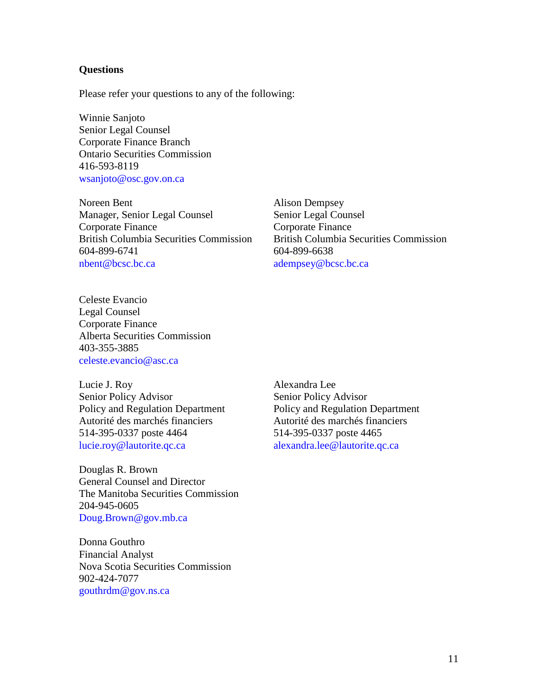#### **Questions**

Please refer your questions to any of the following:

Winnie Sanjoto Senior Legal Counsel Corporate Finance Branch Ontario Securities Commission 416-593-8119 [wsanjoto@osc.gov.on.ca](mailto:wsanjoto@osc.gov.on.ca)

Noreen Bent Manager, Senior Legal Counsel Corporate Finance British Columbia Securities Commission 604-899-6741 [nbent@bcsc.bc.ca](mailto:nbent@bcsc.bc.ca)

Alison Dempsey Senior Legal Counsel Corporate Finance British Columbia Securities Commission 604-899-6638 [adempsey@bcsc.bc.ca](mailto:adempsey@bcsc.bc.ca)

Celeste Evancio Legal Counsel Corporate Finance Alberta Securities Commission 403-355-3885 [celeste.evancio@asc.ca](mailto:celeste.evancio@asc.ca)

Lucie J. Roy Senior Policy Advisor Policy and Regulation Department Autorité des marchés financiers 514-395-0337 poste 4464 [lucie.roy@lautorite.qc.ca](mailto:lucie.roy@lautorite.qc.ca)

Douglas R. Brown General Counsel and Director The Manitoba Securities Commission 204-945-0605 [Doug.Brown@gov.mb.ca](mailto:Doug.Brown@gov.mb.ca)

Donna Gouthro Financial Analyst Nova Scotia Securities Commission 902-424-7077 [gouthrdm@gov.ns.ca](mailto:gouthrdm@gov.ns.ca)

Alexandra Lee Senior Policy Advisor Policy and Regulation Department Autorité des marchés financiers 514-395-0337 poste 4465 [alexandra.lee@lautorite.qc.ca](mailto:alexandra.lee@lautorite.qc.ca)